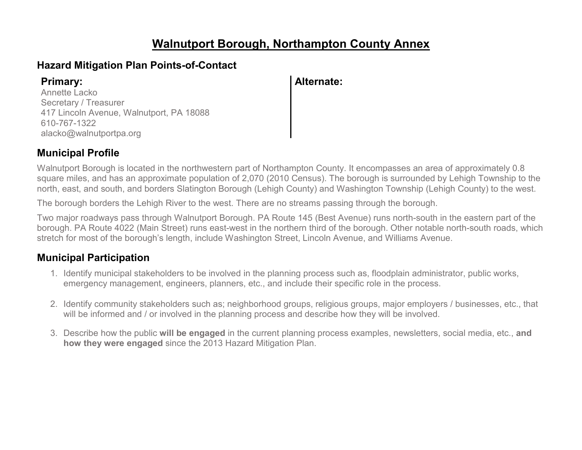### **Walnutport Borough, Northampton County Annex**

### **Hazard Mitigation Plan Points-of-Contact**

Annette Lacko Secretary / Treasurer 417 Lincoln Avenue, Walnutport, PA 18088 610-767-1322 alacko@walnutportpa.org

**Primary: Alternate:**

### **Municipal Profile**

Walnutport Borough is located in the northwestern part of Northampton County. It encompasses an area of approximately 0.8 square miles, and has an approximate population of 2,070 (2010 Census). The borough is surrounded by Lehigh Township to the north, east, and south, and borders Slatington Borough (Lehigh County) and Washington Township (Lehigh County) to the west.

The borough borders the Lehigh River to the west. There are no streams passing through the borough.

Two major roadways pass through Walnutport Borough. PA Route 145 (Best Avenue) runs north-south in the eastern part of the borough. PA Route 4022 (Main Street) runs east-west in the northern third of the borough. Other notable north-south roads, which stretch for most of the borough's length, include Washington Street, Lincoln Avenue, and Williams Avenue.

### **Municipal Participation**

- 1. Identify municipal stakeholders to be involved in the planning process such as, floodplain administrator, public works, emergency management, engineers, planners, etc., and include their specific role in the process.
- 2. Identify community stakeholders such as; neighborhood groups, religious groups, major employers / businesses, etc., that will be informed and / or involved in the planning process and describe how they will be involved.
- 3. Describe how the public **will be engaged** in the current planning process examples, newsletters, social media, etc., **and how they were engaged** since the 2013 Hazard Mitigation Plan.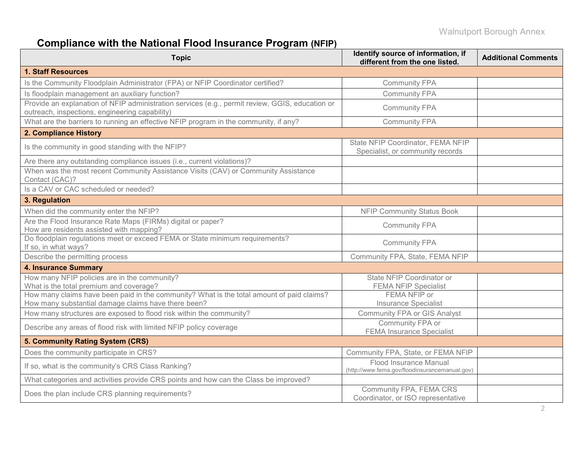# **Compliance with the National Flood Insurance Program (NFIP)**

| <b>Topic</b>                                                                                                                                      | Identify source of information, if<br>different from the one listed.     | <b>Additional Comments</b> |
|---------------------------------------------------------------------------------------------------------------------------------------------------|--------------------------------------------------------------------------|----------------------------|
| <b>1. Staff Resources</b>                                                                                                                         |                                                                          |                            |
| Is the Community Floodplain Administrator (FPA) or NFIP Coordinator certified?                                                                    | <b>Community FPA</b>                                                     |                            |
| Is floodplain management an auxiliary function?                                                                                                   | <b>Community FPA</b>                                                     |                            |
| Provide an explanation of NFIP administration services (e.g., permit review, GGIS, education or<br>outreach, inspections, engineering capability) | <b>Community FPA</b>                                                     |                            |
| What are the barriers to running an effective NFIP program in the community, if any?                                                              | <b>Community FPA</b>                                                     |                            |
| 2. Compliance History                                                                                                                             |                                                                          |                            |
| Is the community in good standing with the NFIP?                                                                                                  | State NFIP Coordinator, FEMA NFIP<br>Specialist, or community records    |                            |
| Are there any outstanding compliance issues (i.e., current violations)?                                                                           |                                                                          |                            |
| When was the most recent Community Assistance Visits (CAV) or Community Assistance<br>Contact (CAC)?                                              |                                                                          |                            |
| Is a CAV or CAC scheduled or needed?                                                                                                              |                                                                          |                            |
| 3. Regulation                                                                                                                                     |                                                                          |                            |
| When did the community enter the NFIP?                                                                                                            | <b>NFIP Community Status Book</b>                                        |                            |
| Are the Flood Insurance Rate Maps (FIRMs) digital or paper?<br>How are residents assisted with mapping?                                           | <b>Community FPA</b>                                                     |                            |
| Do floodplain regulations meet or exceed FEMA or State minimum requirements?<br>If so, in what ways?                                              | <b>Community FPA</b>                                                     |                            |
| Describe the permitting process                                                                                                                   | Community FPA, State, FEMA NFIP                                          |                            |
| <b>4. Insurance Summary</b>                                                                                                                       |                                                                          |                            |
| How many NFIP policies are in the community?<br>What is the total premium and coverage?                                                           | State NFIP Coordinator or<br><b>FEMA NFIP Specialist</b>                 |                            |
| How many claims have been paid in the community? What is the total amount of paid claims?<br>How many substantial damage claims have there been?  | FEMA NFIP or<br><b>Insurance Specialist</b>                              |                            |
| How many structures are exposed to flood risk within the community?                                                                               | <b>Community FPA or GIS Analyst</b>                                      |                            |
| Describe any areas of flood risk with limited NFIP policy coverage                                                                                | Community FPA or<br><b>FEMA Insurance Specialist</b>                     |                            |
| 5. Community Rating System (CRS)                                                                                                                  |                                                                          |                            |
| Does the community participate in CRS?                                                                                                            | Community FPA, State, or FEMA NFIP                                       |                            |
| If so, what is the community's CRS Class Ranking?                                                                                                 | Flood Insurance Manual<br>(http://www.fema.gov/floodinsurancemanual.gov) |                            |
| What categories and activities provide CRS points and how can the Class be improved?                                                              |                                                                          |                            |
| Does the plan include CRS planning requirements?                                                                                                  | Community FPA, FEMA CRS<br>Coordinator, or ISO representative            |                            |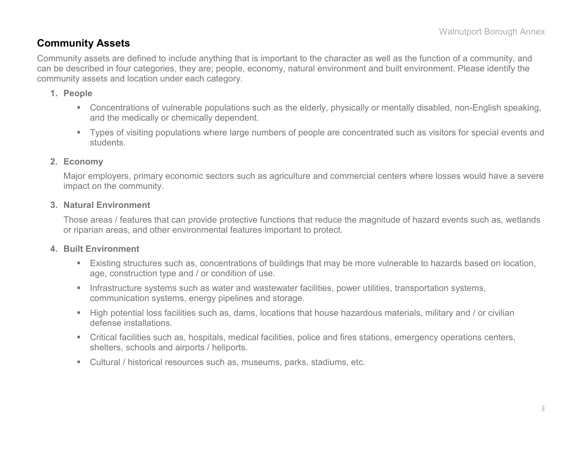### **Community Assets**

Community assets are defined to include anything that is important to the character as well as the function of a community, and can be described in four categories, they are; people, economy, natural environment and built environment. Please identify the community assets and location under each category.

#### **1. People**

- Concentrations of vulnerable populations such as the elderly, physically or mentally disabled, non-English speaking, and the medically or chemically dependent.
- Types of visiting populations where large numbers of people are concentrated such as visitors for special events and students.

#### **2. Economy**

Major employers, primary economic sectors such as agriculture and commercial centers where losses would have a severe impact on the community.

#### **3. Natural Environment**

Those areas / features that can provide protective functions that reduce the magnitude of hazard events such as, wetlands or riparian areas, and other environmental features important to protect.

#### **4. Built Environment**

- Existing structures such as, concentrations of buildings that may be more vulnerable to hazards based on location, age, construction type and / or condition of use.
- **Infrastructure systems such as water and wastewater facilities, power utilities, transportation systems,** communication systems, energy pipelines and storage.
- High potential loss facilities such as, dams, locations that house hazardous materials, military and / or civilian defense installations.
- Critical facilities such as, hospitals, medical facilities, police and fires stations, emergency operations centers, shelters, schools and airports / heliports.
- Cultural / historical resources such as, museums, parks, stadiums, etc.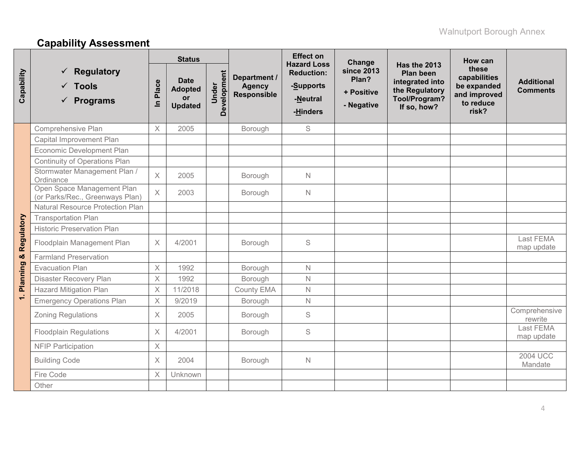# **Capability Assessment**

|            |                                                                  |            | <b>Status</b>                                                |                      |                                                     | <b>Effect on</b><br><b>Hazard Loss</b>                 | Change                                                 |                                                                                                       | How can                                                                    |                                      |
|------------|------------------------------------------------------------------|------------|--------------------------------------------------------------|----------------------|-----------------------------------------------------|--------------------------------------------------------|--------------------------------------------------------|-------------------------------------------------------------------------------------------------------|----------------------------------------------------------------------------|--------------------------------------|
| Capability | <b>Regulatory</b><br>$\checkmark$ Tools<br>$\checkmark$ Programs | Place<br>르 | <b>Date</b><br><b>Adopted</b><br><b>or</b><br><b>Updated</b> | Development<br>Under | Department /<br><b>Agency</b><br><b>Responsible</b> | <b>Reduction:</b><br>-Supports<br>-Neutral<br>-Hinders | <b>since 2013</b><br>Plan?<br>+ Positive<br>- Negative | Has the 2013<br><b>Plan been</b><br>integrated into<br>the Regulatory<br>Tool/Program?<br>If so, how? | these<br>capabilities<br>be expanded<br>and improved<br>to reduce<br>risk? | <b>Additional</b><br><b>Comments</b> |
|            | Comprehensive Plan                                               | $\times$   | 2005                                                         |                      | Borough                                             | S                                                      |                                                        |                                                                                                       |                                                                            |                                      |
|            | Capital Improvement Plan                                         |            |                                                              |                      |                                                     |                                                        |                                                        |                                                                                                       |                                                                            |                                      |
|            | Economic Development Plan                                        |            |                                                              |                      |                                                     |                                                        |                                                        |                                                                                                       |                                                                            |                                      |
|            | Continuity of Operations Plan                                    |            |                                                              |                      |                                                     |                                                        |                                                        |                                                                                                       |                                                                            |                                      |
|            | Stormwater Management Plan /<br>Ordinance                        | $\times$   | 2005                                                         |                      | Borough                                             | $\mathbb N$                                            |                                                        |                                                                                                       |                                                                            |                                      |
|            | Open Space Management Plan<br>(or Parks/Rec., Greenways Plan)    | $\times$   | 2003                                                         |                      | Borough                                             | N                                                      |                                                        |                                                                                                       |                                                                            |                                      |
|            | <b>Natural Resource Protection Plan</b>                          |            |                                                              |                      |                                                     |                                                        |                                                        |                                                                                                       |                                                                            |                                      |
|            | <b>Transportation Plan</b>                                       |            |                                                              |                      |                                                     |                                                        |                                                        |                                                                                                       |                                                                            |                                      |
|            | <b>Historic Preservation Plan</b>                                |            |                                                              |                      |                                                     |                                                        |                                                        |                                                                                                       |                                                                            |                                      |
| Regulatory | Floodplain Management Plan                                       | $\times$   | 4/2001                                                       |                      | Borough                                             | $\mathbf S$                                            |                                                        |                                                                                                       |                                                                            | Last FEMA<br>map update              |
|            | <b>Farmland Preservation</b>                                     |            |                                                              |                      |                                                     |                                                        |                                                        |                                                                                                       |                                                                            |                                      |
|            | <b>Evacuation Plan</b>                                           | $\times$   | 1992                                                         |                      | Borough                                             | $\mathsf{N}$                                           |                                                        |                                                                                                       |                                                                            |                                      |
| Planning & | Disaster Recovery Plan                                           | $\times$   | 1992                                                         |                      | Borough                                             | $\mathsf{N}$                                           |                                                        |                                                                                                       |                                                                            |                                      |
|            | <b>Hazard Mitigation Plan</b>                                    | $\times$   | 11/2018                                                      |                      | County EMA                                          | $\mathbb N$                                            |                                                        |                                                                                                       |                                                                            |                                      |
| $\div$     | <b>Emergency Operations Plan</b>                                 | $\times$   | 9/2019                                                       |                      | Borough                                             | $\mathbb N$                                            |                                                        |                                                                                                       |                                                                            |                                      |
|            | <b>Zoning Regulations</b>                                        | $\times$   | 2005                                                         |                      | Borough                                             | S                                                      |                                                        |                                                                                                       |                                                                            | Comprehensive<br>rewrite             |
|            | <b>Floodplain Regulations</b>                                    | $\times$   | 4/2001                                                       |                      | Borough                                             | S                                                      |                                                        |                                                                                                       |                                                                            | Last FEMA<br>map update              |
|            | <b>NFIP Participation</b>                                        | $\times$   |                                                              |                      |                                                     |                                                        |                                                        |                                                                                                       |                                                                            |                                      |
|            | <b>Building Code</b>                                             | $\times$   | 2004                                                         |                      | Borough                                             | $\mathbb N$                                            |                                                        |                                                                                                       |                                                                            | <b>2004 UCC</b><br>Mandate           |
|            | Fire Code                                                        | $\times$   | Unknown                                                      |                      |                                                     |                                                        |                                                        |                                                                                                       |                                                                            |                                      |
|            | Other                                                            |            |                                                              |                      |                                                     |                                                        |                                                        |                                                                                                       |                                                                            |                                      |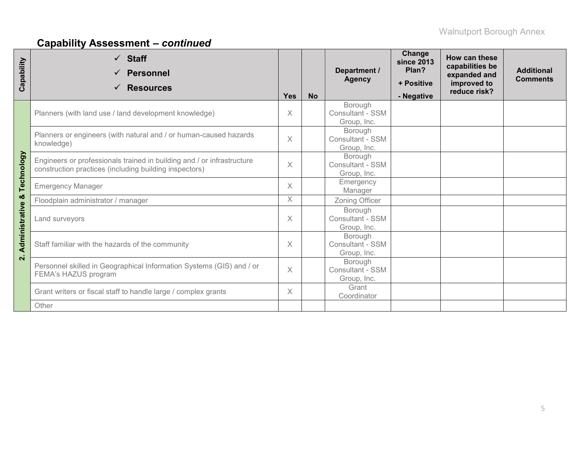# **Capability Assessment –** *continued*

| Capability         | $\checkmark$ Staff<br><b>Personnel</b><br>✓<br><b>Resources</b>                                                                  | <b>Yes</b> | <b>No</b> | Department /<br><b>Agency</b>                     | Change<br><b>since 2013</b><br>Plan?<br>+ Positive<br>- Negative | How can these<br>capabilities be<br>expanded and<br>improved to<br>reduce risk? | <b>Additional</b><br><b>Comments</b> |
|--------------------|----------------------------------------------------------------------------------------------------------------------------------|------------|-----------|---------------------------------------------------|------------------------------------------------------------------|---------------------------------------------------------------------------------|--------------------------------------|
|                    | Planners (with land use / land development knowledge)                                                                            | $\times$   |           | Borough<br>Consultant - SSM<br>Group, Inc.        |                                                                  |                                                                                 |                                      |
|                    | Planners or engineers (with natural and / or human-caused hazards<br>knowledge)                                                  | $\times$   |           | Borough<br><b>Consultant - SSM</b><br>Group, Inc. |                                                                  |                                                                                 |                                      |
| Technology         | Engineers or professionals trained in building and / or infrastructure<br>construction practices (including building inspectors) | $\times$   |           | Borough<br>Consultant - SSM<br>Group, Inc.        |                                                                  |                                                                                 |                                      |
|                    | <b>Emergency Manager</b>                                                                                                         | X          |           | Emergency<br>Manager                              |                                                                  |                                                                                 |                                      |
| ×                  | Floodplain administrator / manager                                                                                               | $\times$   |           | Zoning Officer                                    |                                                                  |                                                                                 |                                      |
| Administrative     | Land surveyors                                                                                                                   | $\times$   |           | Borough<br><b>Consultant - SSM</b><br>Group, Inc. |                                                                  |                                                                                 |                                      |
| $\dot{\mathbf{N}}$ | Staff familiar with the hazards of the community                                                                                 |            |           | Borough<br>Consultant - SSM<br>Group, Inc.        |                                                                  |                                                                                 |                                      |
|                    | Personnel skilled in Geographical Information Systems (GIS) and / or<br>FEMA's HAZUS program                                     |            |           | Borough<br>Consultant - SSM<br>Group, Inc.        |                                                                  |                                                                                 |                                      |
|                    | Grant writers or fiscal staff to handle large / complex grants                                                                   |            |           | Grant<br>Coordinator                              |                                                                  |                                                                                 |                                      |
|                    | Other                                                                                                                            |            |           |                                                   |                                                                  |                                                                                 |                                      |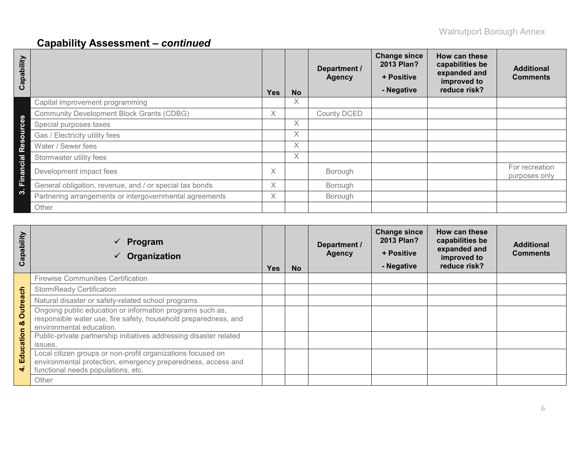# **Capability Assessment –** *continued*

| Capability                           |                                                         | <b>Yes</b> | <b>No</b> | Department /<br><b>Agency</b> | <b>Change since</b><br>2013 Plan?<br>+ Positive<br>- Negative | How can these<br>capabilities be<br>expanded and<br>improved to<br>reduce risk? | <b>Additional</b><br><b>Comments</b> |
|--------------------------------------|---------------------------------------------------------|------------|-----------|-------------------------------|---------------------------------------------------------------|---------------------------------------------------------------------------------|--------------------------------------|
|                                      | Capital improvement programming                         |            | Χ         |                               |                                                               |                                                                                 |                                      |
| $\boldsymbol{\omega}$                | <b>Community Development Block Grants (CDBG)</b>        | X          |           | <b>County DCED</b>            |                                                               |                                                                                 |                                      |
|                                      | Special purposes taxes                                  |            | Χ         |                               |                                                               |                                                                                 |                                      |
| $\Omega$                             | Gas / Electricity utility fees                          |            | X         |                               |                                                               |                                                                                 |                                      |
| $\boldsymbol{\omega}$<br>$\Phi$<br>œ | Water / Sewer fees                                      |            | X         |                               |                                                               |                                                                                 |                                      |
| Cial                                 | Stormwater utility fees                                 |            | Χ         |                               |                                                               |                                                                                 |                                      |
| an                                   | Development impact fees                                 | X          |           | Borough                       |                                                               |                                                                                 | For recreation<br>purposes only      |
| 置                                    | General obligation, revenue, and / or special tax bonds | X.         |           | Borough                       |                                                               |                                                                                 |                                      |
| က                                    | Partnering arrangements or intergovernmental agreements | X.         |           | Borough                       |                                                               |                                                                                 |                                      |
|                                      | Other                                                   |            |           |                               |                                                               |                                                                                 |                                      |

| Capability    | Program<br>$\checkmark$<br>Organization                                                                                                                           | <b>Yes</b> | <b>No</b> | Department /<br><b>Agency</b> | <b>Change since</b><br>2013 Plan?<br>+ Positive<br>- Negative | How can these<br>capabilities be<br>expanded and<br>improved to<br>reduce risk? | <b>Additional</b><br><b>Comments</b> |
|---------------|-------------------------------------------------------------------------------------------------------------------------------------------------------------------|------------|-----------|-------------------------------|---------------------------------------------------------------|---------------------------------------------------------------------------------|--------------------------------------|
|               | <b>Firewise Communities Certification</b>                                                                                                                         |            |           |                               |                                                               |                                                                                 |                                      |
|               | <b>StormReady Certification</b>                                                                                                                                   |            |           |                               |                                                               |                                                                                 |                                      |
|               | Natural disaster or safety-related school programs                                                                                                                |            |           |                               |                                                               |                                                                                 |                                      |
| Outreach<br>ಯ | Ongoing public education or information programs such as,<br>responsible water use, fire safety, household preparedness, and<br>environmental education.          |            |           |                               |                                                               |                                                                                 |                                      |
| Education     | Public-private partnership initiatives addressing disaster related<br>issues.                                                                                     |            |           |                               |                                                               |                                                                                 |                                      |
| $\vec{r}$     | Local citizen groups or non-profit organizations focused on<br>environmental protection, emergency preparedness, access and<br>functional needs populations, etc. |            |           |                               |                                                               |                                                                                 |                                      |
|               | Other                                                                                                                                                             |            |           |                               |                                                               |                                                                                 |                                      |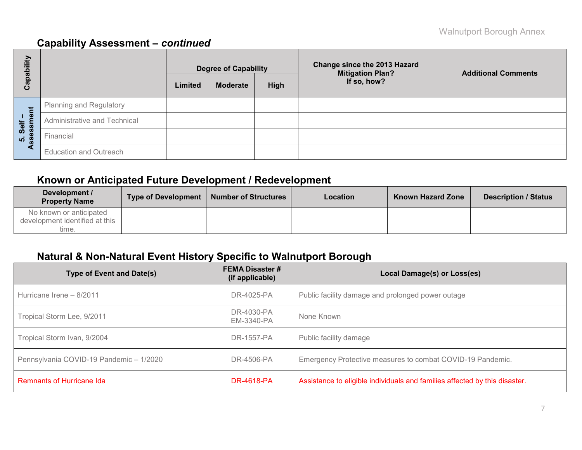### **Capability Assessment –** *continued*

| E<br>هَ           |                               |         | <b>Degree of Capability</b> |             | <b>Change since the 2013 Hazard</b><br><b>Mitigation Plan?</b> | <b>Additional Comments</b> |  |  |
|-------------------|-------------------------------|---------|-----------------------------|-------------|----------------------------------------------------------------|----------------------------|--|--|
| <u>թզ</u><br>ပိ   |                               | Limited | <b>Moderate</b>             | <b>High</b> | If so, how?                                                    |                            |  |  |
|                   | Planning and Regulatory       |         |                             |             |                                                                |                            |  |  |
| Self –<br>essment | Administrative and Technical  |         |                             |             |                                                                |                            |  |  |
| <u>ທີ່ 8</u>      | Financial                     |         |                             |             |                                                                |                            |  |  |
| ⋖                 | <b>Education and Outreach</b> |         |                             |             |                                                                |                            |  |  |

### **Known or Anticipated Future Development / Redevelopment**

| Development /<br><b>Property Name</b>                              | Type of Development | <b>Number of Structures</b> | Location | <b>Known Hazard Zone</b> | <b>Description / Status</b> |
|--------------------------------------------------------------------|---------------------|-----------------------------|----------|--------------------------|-----------------------------|
| No known or anticipated<br>development identified at this<br>time. |                     |                             |          |                          |                             |

### **Natural & Non-Natural Event History Specific to Walnutport Borough**

| <b>Type of Event and Date(s)</b>        | <b>FEMA Disaster #</b><br>(if applicable) | Local Damage(s) or Loss(es)                                                |
|-----------------------------------------|-------------------------------------------|----------------------------------------------------------------------------|
| Hurricane Irene - 8/2011                | DR-4025-PA                                | Public facility damage and prolonged power outage                          |
| Tropical Storm Lee, 9/2011              | DR-4030-PA<br>EM-3340-PA                  | None Known                                                                 |
| Tropical Storm Ivan, 9/2004             | DR-1557-PA                                | Public facility damage                                                     |
| Pennsylvania COVID-19 Pandemic - 1/2020 | DR-4506-PA                                | Emergency Protective measures to combat COVID-19 Pandemic.                 |
| <b>Remnants of Hurricane Ida</b>        | DR-4618-PA                                | Assistance to eligible individuals and families affected by this disaster. |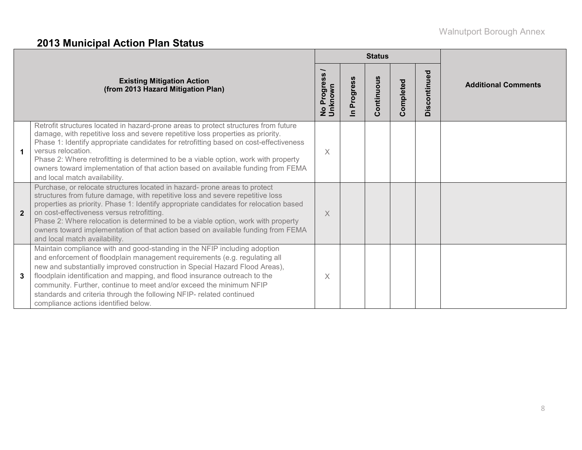# **2013 Municipal Action Plan Status**

|              |                                                                                                                                                                                                                                                                                                                                                                                                                                                                                                               |                        |                                     | <b>Status</b> |           |              |                            |  |
|--------------|---------------------------------------------------------------------------------------------------------------------------------------------------------------------------------------------------------------------------------------------------------------------------------------------------------------------------------------------------------------------------------------------------------------------------------------------------------------------------------------------------------------|------------------------|-------------------------------------|---------------|-----------|--------------|----------------------------|--|
|              | <b>Existing Mitigation Action</b><br>(from 2013 Hazard Mitigation Plan)                                                                                                                                                                                                                                                                                                                                                                                                                                       | No Progress<br>Unknown | Progress<br>$\overline{\mathbf{a}}$ | Continuous    | Completed | Discontinued | <b>Additional Comments</b> |  |
|              | Retrofit structures located in hazard-prone areas to protect structures from future<br>damage, with repetitive loss and severe repetitive loss properties as priority.<br>Phase 1: Identify appropriate candidates for retrofitting based on cost-effectiveness<br>versus relocation.<br>Phase 2: Where retrofitting is determined to be a viable option, work with property<br>owners toward implementation of that action based on available funding from FEMA<br>and local match availability.             | X                      |                                     |               |           |              |                            |  |
| $\mathbf{2}$ | Purchase, or relocate structures located in hazard- prone areas to protect<br>structures from future damage, with repetitive loss and severe repetitive loss<br>properties as priority. Phase 1: Identify appropriate candidates for relocation based<br>on cost-effectiveness versus retrofitting.<br>Phase 2: Where relocation is determined to be a viable option, work with property<br>owners toward implementation of that action based on available funding from FEMA<br>and local match availability. | X                      |                                     |               |           |              |                            |  |
| 3            | Maintain compliance with and good-standing in the NFIP including adoption<br>and enforcement of floodplain management requirements (e.g. regulating all<br>new and substantially improved construction in Special Hazard Flood Areas),<br>floodplain identification and mapping, and flood insurance outreach to the<br>community. Further, continue to meet and/or exceed the minimum NFIP<br>standards and criteria through the following NFIP- related continued<br>compliance actions identified below.   | $\times$               |                                     |               |           |              |                            |  |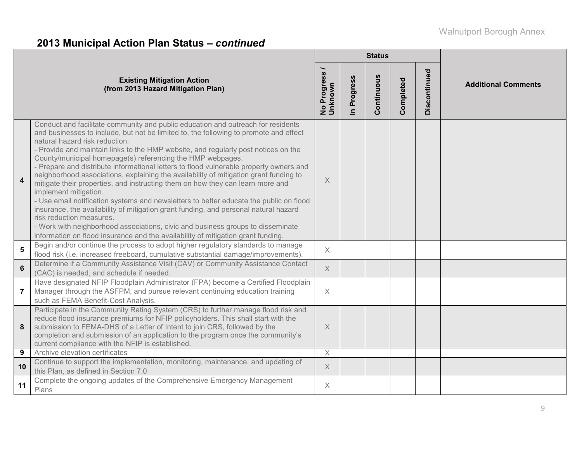# **2013 Municipal Action Plan Status –** *continued*

|                  |                                                                                                                                                                                                                                                                                                                                                                                                                                                                                                                                                                                                                                                                                                                                                                                                                                                                                                                                                                                                                                                    |                          |                            | <b>Status</b> |           |              |                            |
|------------------|----------------------------------------------------------------------------------------------------------------------------------------------------------------------------------------------------------------------------------------------------------------------------------------------------------------------------------------------------------------------------------------------------------------------------------------------------------------------------------------------------------------------------------------------------------------------------------------------------------------------------------------------------------------------------------------------------------------------------------------------------------------------------------------------------------------------------------------------------------------------------------------------------------------------------------------------------------------------------------------------------------------------------------------------------|--------------------------|----------------------------|---------------|-----------|--------------|----------------------------|
|                  | <b>Existing Mitigation Action</b><br>(from 2013 Hazard Mitigation Plan)                                                                                                                                                                                                                                                                                                                                                                                                                                                                                                                                                                                                                                                                                                                                                                                                                                                                                                                                                                            | No Progress /<br>Unknown | Progress<br>$\overline{a}$ | Continuous    | Completed | Discontinued | <b>Additional Comments</b> |
| $\blacktriangle$ | Conduct and facilitate community and public education and outreach for residents<br>and businesses to include, but not be limited to, the following to promote and effect<br>natural hazard risk reduction:<br>- Provide and maintain links to the HMP website, and regularly post notices on the<br>County/municipal homepage(s) referencing the HMP webpages.<br>- Prepare and distribute informational letters to flood vulnerable property owners and<br>neighborhood associations, explaining the availability of mitigation grant funding to<br>mitigate their properties, and instructing them on how they can learn more and<br>implement mitigation.<br>- Use email notification systems and newsletters to better educate the public on flood<br>insurance, the availability of mitigation grant funding, and personal natural hazard<br>risk reduction measures.<br>- Work with neighborhood associations, civic and business groups to disseminate<br>information on flood insurance and the availability of mitigation grant funding. | $\times$                 |                            |               |           |              |                            |
| 5                | Begin and/or continue the process to adopt higher regulatory standards to manage<br>flood risk (i.e. increased freeboard, cumulative substantial damage/improvements).                                                                                                                                                                                                                                                                                                                                                                                                                                                                                                                                                                                                                                                                                                                                                                                                                                                                             | X                        |                            |               |           |              |                            |
| $6\phantom{a}$   | Determine if a Community Assistance Visit (CAV) or Community Assistance Contact<br>(CAC) is needed, and schedule if needed.                                                                                                                                                                                                                                                                                                                                                                                                                                                                                                                                                                                                                                                                                                                                                                                                                                                                                                                        | $\times$                 |                            |               |           |              |                            |
| $\overline{7}$   | Have designated NFIP Floodplain Administrator (FPA) become a Certified Floodplain<br>Manager through the ASFPM, and pursue relevant continuing education training<br>such as FEMA Benefit-Cost Analysis.                                                                                                                                                                                                                                                                                                                                                                                                                                                                                                                                                                                                                                                                                                                                                                                                                                           | $\times$                 |                            |               |           |              |                            |
| 8                | Participate in the Community Rating System (CRS) to further manage flood risk and<br>reduce flood insurance premiums for NFIP policyholders. This shall start with the<br>submission to FEMA-DHS of a Letter of Intent to join CRS, followed by the<br>completion and submission of an application to the program once the community's<br>current compliance with the NFIP is established                                                                                                                                                                                                                                                                                                                                                                                                                                                                                                                                                                                                                                                          | $\times$                 |                            |               |           |              |                            |
| 9                | Archive elevation certificates                                                                                                                                                                                                                                                                                                                                                                                                                                                                                                                                                                                                                                                                                                                                                                                                                                                                                                                                                                                                                     | $\times$                 |                            |               |           |              |                            |
| 10               | Continue to support the implementation, monitoring, maintenance, and updating of<br>this Plan, as defined in Section 7.0                                                                                                                                                                                                                                                                                                                                                                                                                                                                                                                                                                                                                                                                                                                                                                                                                                                                                                                           | $\times$                 |                            |               |           |              |                            |
| 11               | Complete the ongoing updates of the Comprehensive Emergency Management<br>Plans                                                                                                                                                                                                                                                                                                                                                                                                                                                                                                                                                                                                                                                                                                                                                                                                                                                                                                                                                                    | X                        |                            |               |           |              |                            |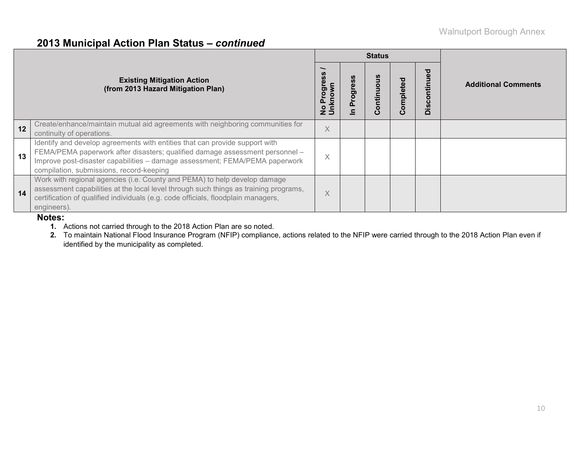#### **2013 Municipal Action Plan Status –** *continued*

|    |                                                                                                                                                                                                                                                                                        |                                  |      | <b>Status</b> |           |                         |                            |  |
|----|----------------------------------------------------------------------------------------------------------------------------------------------------------------------------------------------------------------------------------------------------------------------------------------|----------------------------------|------|---------------|-----------|-------------------------|----------------------------|--|
|    | <b>Existing Mitigation Action</b><br>(from 2013 Hazard Mitigation Plan)                                                                                                                                                                                                                | Progress<br>No Progre<br>Unknown | Prog | tin           | Completed | iscontinued<br>$\Omega$ | <b>Additional Comments</b> |  |
| 12 | Create/enhance/maintain mutual aid agreements with neighboring communities for<br>continuity of operations.                                                                                                                                                                            | X                                |      |               |           |                         |                            |  |
| 13 | Identify and develop agreements with entities that can provide support with<br>FEMA/PEMA paperwork after disasters; qualified damage assessment personnel -<br>Improve post-disaster capabilities - damage assessment; FEMA/PEMA paperwork<br>compilation, submissions, record-keeping | X                                |      |               |           |                         |                            |  |
| 14 | Work with regional agencies (i.e. County and PEMA) to help develop damage<br>assessment capabilities at the local level through such things as training programs,<br>certification of qualified individuals (e.g. code officials, floodplain managers,<br>engineers).                  | X                                |      |               |           |                         |                            |  |

#### **Notes:**

**1.** Actions not carried through to the 2018 Action Plan are so noted.

**2.** To maintain National Flood Insurance Program (NFIP) compliance, actions related to the NFIP were carried through to the 2018 Action Plan even if identified by the municipality as completed.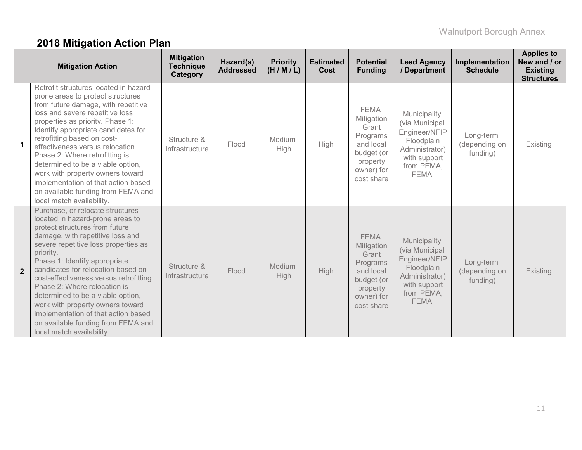# **2018 Mitigation Action Plan**

|                      | <b>Mitigation Action</b>                                                                                                                                                                                                                                                                                                                                                                                                                                                                                                             | <b>Mitigation</b><br><b>Technique</b><br>Category | Hazard(s)<br><b>Addressed</b> | <b>Priority</b><br>(H/M/L) | <b>Estimated</b><br><b>Cost</b> | <b>Potential</b><br><b>Funding</b>                                                                                | <b>Lead Agency</b><br>/ Department                                                                                           | Implementation<br><b>Schedule</b>      | <b>Applies to</b><br>New and / or<br><b>Existing</b><br><b>Structures</b> |
|----------------------|--------------------------------------------------------------------------------------------------------------------------------------------------------------------------------------------------------------------------------------------------------------------------------------------------------------------------------------------------------------------------------------------------------------------------------------------------------------------------------------------------------------------------------------|---------------------------------------------------|-------------------------------|----------------------------|---------------------------------|-------------------------------------------------------------------------------------------------------------------|------------------------------------------------------------------------------------------------------------------------------|----------------------------------------|---------------------------------------------------------------------------|
| $\blacktriangleleft$ | Retrofit structures located in hazard-<br>prone areas to protect structures<br>from future damage, with repetitive<br>loss and severe repetitive loss<br>properties as priority. Phase 1:<br>Identify appropriate candidates for<br>retrofitting based on cost-<br>effectiveness versus relocation.<br>Phase 2: Where retrofitting is<br>determined to be a viable option,<br>work with property owners toward<br>implementation of that action based<br>on available funding from FEMA and<br>local match availability.             | Structure &<br>Infrastructure                     | Flood                         | Medium-<br>High            | High                            | <b>FEMA</b><br>Mitigation<br>Grant<br>Programs<br>and local<br>budget (or<br>property<br>owner) for<br>cost share | Municipality<br>(via Municipal<br>Engineer/NFIP<br>Floodplain<br>Administrator)<br>with support<br>from PEMA,<br><b>FEMA</b> | Long-term<br>(depending on<br>funding) | Existing                                                                  |
| $\overline{2}$       | Purchase, or relocate structures<br>located in hazard-prone areas to<br>protect structures from future<br>damage, with repetitive loss and<br>severe repetitive loss properties as<br>priority.<br>Phase 1: Identify appropriate<br>candidates for relocation based on<br>cost-effectiveness versus retrofitting.<br>Phase 2: Where relocation is<br>determined to be a viable option,<br>work with property owners toward<br>implementation of that action based<br>on available funding from FEMA and<br>local match availability. | Structure &<br>Infrastructure                     | Flood                         | Medium-<br>High            | <b>High</b>                     | <b>FEMA</b><br>Mitigation<br>Grant<br>Programs<br>and local<br>budget (or<br>property<br>owner) for<br>cost share | Municipality<br>(via Municipal<br>Engineer/NFIP<br>Floodplain<br>Administrator)<br>with support<br>from PEMA,<br><b>FEMA</b> | Long-term<br>(depending on<br>funding) | Existing                                                                  |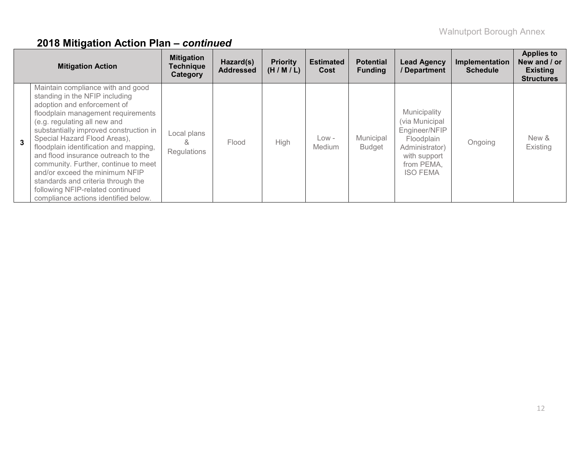|              | <b>Mitigation Action</b>                                                                                                                                                                                                                                                                                                                                                                                                                                                                                                        | <b>Mitigation</b><br><b>Technique</b><br>Category | Hazard(s)<br><b>Addressed</b> | <b>Priority</b><br>(H/M/L) | <b>Estimated</b><br>Cost | <b>Potential</b><br><b>Funding</b> | <b>Lead Agency</b><br><b>Department</b>                                                                                          | Implementation<br><b>Schedule</b> | <b>Applies to</b><br>New and / or<br><b>Existing</b><br><b>Structures</b> |
|--------------|---------------------------------------------------------------------------------------------------------------------------------------------------------------------------------------------------------------------------------------------------------------------------------------------------------------------------------------------------------------------------------------------------------------------------------------------------------------------------------------------------------------------------------|---------------------------------------------------|-------------------------------|----------------------------|--------------------------|------------------------------------|----------------------------------------------------------------------------------------------------------------------------------|-----------------------------------|---------------------------------------------------------------------------|
| $\mathbf{3}$ | Maintain compliance with and good<br>standing in the NFIP including<br>adoption and enforcement of<br>floodplain management requirements<br>(e.g. regulating all new and<br>substantially improved construction in<br>Special Hazard Flood Areas),<br>floodplain identification and mapping,<br>and flood insurance outreach to the<br>community. Further, continue to meet<br>and/or exceed the minimum NFIP<br>standards and criteria through the<br>following NFIP-related continued<br>compliance actions identified below. | Local plans<br>&<br>Regulations                   | Flood                         | High                       | $Low -$<br>Medium        | Municipal<br><b>Budget</b>         | Municipality<br>(via Municipal<br>Engineer/NFIP<br>Floodplain<br>Administrator)<br>with support<br>from PEMA,<br><b>ISO FEMA</b> | Ongoing                           | New &<br>Existing                                                         |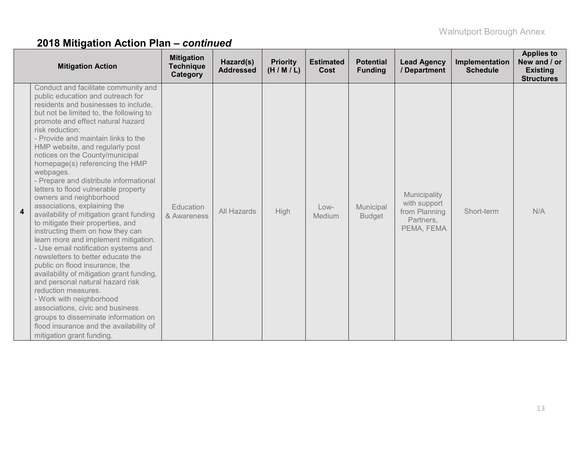|   | <b>Mitigation Action</b>                                                                                                                                                                                                                                                                                                                                                                                                                                                                                                                                                                                                                                                                                                                                                                                                                                                                                                                                                                                                                                                                           | <b>Mitigation</b><br><b>Technique</b><br>Category | Hazard(s)<br><b>Addressed</b> | <b>Priority</b><br>(H/M/L) | <b>Estimated</b><br><b>Cost</b> | <b>Potential</b><br><b>Funding</b> | <b>Lead Agency</b><br>/ Department                                       | Implementation<br><b>Schedule</b> | <b>Applies to</b><br>New and / or<br><b>Existing</b><br><b>Structures</b> |
|---|----------------------------------------------------------------------------------------------------------------------------------------------------------------------------------------------------------------------------------------------------------------------------------------------------------------------------------------------------------------------------------------------------------------------------------------------------------------------------------------------------------------------------------------------------------------------------------------------------------------------------------------------------------------------------------------------------------------------------------------------------------------------------------------------------------------------------------------------------------------------------------------------------------------------------------------------------------------------------------------------------------------------------------------------------------------------------------------------------|---------------------------------------------------|-------------------------------|----------------------------|---------------------------------|------------------------------------|--------------------------------------------------------------------------|-----------------------------------|---------------------------------------------------------------------------|
| 4 | Conduct and facilitate community and<br>public education and outreach for<br>residents and businesses to include,<br>but not be limited to, the following to<br>promote and effect natural hazard<br>risk reduction:<br>- Provide and maintain links to the<br>HMP website, and regularly post<br>notices on the County/municipal<br>homepage(s) referencing the HMP<br>webpages.<br>- Prepare and distribute informational<br>letters to flood vulnerable property<br>owners and neighborhood<br>associations, explaining the<br>availability of mitigation grant funding<br>to mitigate their properties, and<br>instructing them on how they can<br>learn more and implement mitigation.<br>- Use email notification systems and<br>newsletters to better educate the<br>public on flood insurance, the<br>availability of mitigation grant funding,<br>and personal natural hazard risk<br>reduction measures.<br>- Work with neighborhood<br>associations, civic and business<br>groups to disseminate information on<br>flood insurance and the availability of<br>mitigation grant funding. | Education<br>& Awareness                          | All Hazards                   | High                       | Low-<br>Medium                  | Municipal<br><b>Budget</b>         | Municipality<br>with support<br>from Planning<br>Partners,<br>PEMA, FEMA | Short-term                        | N/A                                                                       |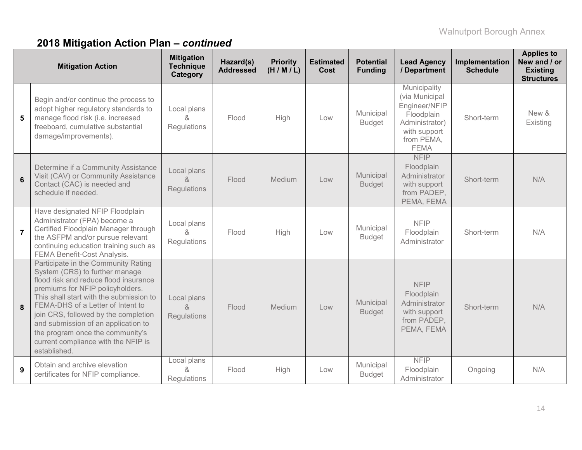| <b>Mitigation Action</b> |                                                                                                                                                                                                                                                                                                                                                                                                              | <b>Mitigation</b><br><b>Technique</b><br>Category | Hazard(s)<br><b>Addressed</b> | <b>Priority</b><br>(H/M/L) | <b>Estimated</b><br><b>Cost</b> | <b>Potential</b><br><b>Funding</b> | <b>Lead Agency</b><br>/ Department                                                                                           | Implementation<br><b>Schedule</b> | <b>Applies to</b><br>New and / or<br><b>Existing</b><br><b>Structures</b> |
|--------------------------|--------------------------------------------------------------------------------------------------------------------------------------------------------------------------------------------------------------------------------------------------------------------------------------------------------------------------------------------------------------------------------------------------------------|---------------------------------------------------|-------------------------------|----------------------------|---------------------------------|------------------------------------|------------------------------------------------------------------------------------------------------------------------------|-----------------------------------|---------------------------------------------------------------------------|
| 5                        | Begin and/or continue the process to<br>adopt higher regulatory standards to<br>manage flood risk (i.e. increased<br>freeboard, cumulative substantial<br>damage/improvements).                                                                                                                                                                                                                              | Local plans<br>&<br>Regulations                   | Flood                         | High                       | Low                             | Municipal<br><b>Budget</b>         | Municipality<br>(via Municipal<br>Engineer/NFIP<br>Floodplain<br>Administrator)<br>with support<br>from PEMA,<br><b>FEMA</b> | Short-term                        | New &<br>Existing                                                         |
| 6                        | Determine if a Community Assistance<br>Visit (CAV) or Community Assistance<br>Contact (CAC) is needed and<br>schedule if needed.                                                                                                                                                                                                                                                                             | Local plans<br>$\delta$<br>Regulations            | Flood                         | Medium                     | Low                             | Municipal<br><b>Budget</b>         | <b>NFIP</b><br>Floodplain<br>Administrator<br>with support<br>from PADEP,<br>PEMA, FEMA                                      | Short-term                        | N/A                                                                       |
| $\overline{7}$           | Have designated NFIP Floodplain<br>Administrator (FPA) become a<br>Certified Floodplain Manager through<br>the ASFPM and/or pursue relevant<br>continuing education training such as<br><b>FEMA Benefit-Cost Analysis.</b>                                                                                                                                                                                   | Local plans<br>$\alpha$<br>Regulations            | Flood                         | High                       | Low                             | Municipal<br><b>Budget</b>         | <b>NFIP</b><br>Floodplain<br>Administrator                                                                                   | Short-term                        | N/A                                                                       |
| 8                        | Participate in the Community Rating<br>System (CRS) to further manage<br>flood risk and reduce flood insurance<br>premiums for NFIP policyholders.<br>This shall start with the submission to<br>FEMA-DHS of a Letter of Intent to<br>join CRS, followed by the completion<br>and submission of an application to<br>the program once the community's<br>current compliance with the NFIP is<br>established. | Local plans<br>8<br>Regulations                   | Flood                         | Medium                     | Low                             | Municipal<br><b>Budget</b>         | <b>NFIP</b><br>Floodplain<br>Administrator<br>with support<br>from PADEP,<br>PEMA, FEMA                                      | Short-term                        | N/A                                                                       |
| 9                        | Obtain and archive elevation<br>certificates for NFIP compliance.                                                                                                                                                                                                                                                                                                                                            | Local plans<br>&<br>Regulations                   | Flood                         | High                       | Low                             | Municipal<br><b>Budget</b>         | <b>NFIP</b><br>Floodplain<br>Administrator                                                                                   | Ongoing                           | N/A                                                                       |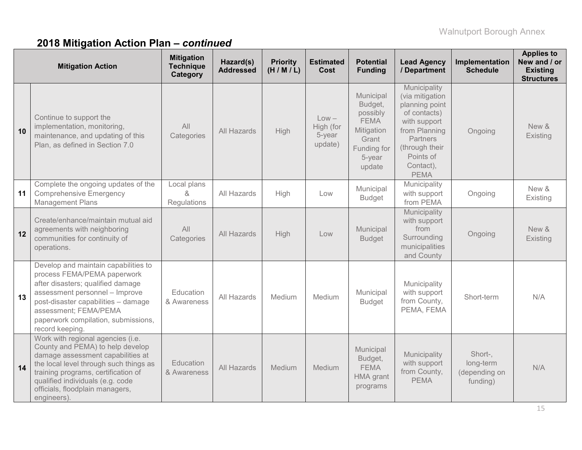| <b>Mitigation Action</b> |                                                                                                                                                                                                                                                                                   | <b>Mitigation</b><br><b>Technique</b><br>Category | Hazard(s)<br><b>Addressed</b> | <b>Priority</b><br>(H/M/L) | <b>Estimated</b><br><b>Cost</b>           | <b>Potential</b><br><b>Funding</b>                                                                        | <b>Lead Agency</b><br>/ Department                                                                                                                                               | Implementation<br><b>Schedule</b>                 | <b>Applies to</b><br>New and / or<br><b>Existing</b><br><b>Structures</b> |
|--------------------------|-----------------------------------------------------------------------------------------------------------------------------------------------------------------------------------------------------------------------------------------------------------------------------------|---------------------------------------------------|-------------------------------|----------------------------|-------------------------------------------|-----------------------------------------------------------------------------------------------------------|----------------------------------------------------------------------------------------------------------------------------------------------------------------------------------|---------------------------------------------------|---------------------------------------------------------------------------|
| 10                       | Continue to support the<br>implementation, monitoring,<br>maintenance, and updating of this<br>Plan, as defined in Section 7.0                                                                                                                                                    | All<br>Categories                                 | All Hazards                   | High                       | $Low -$<br>High (for<br>5-year<br>update) | Municipal<br>Budget,<br>possibly<br><b>FEMA</b><br>Mitigation<br>Grant<br>Funding for<br>5-year<br>update | Municipality<br>(via mitigation<br>planning point<br>of contacts)<br>with support<br>from Planning<br><b>Partners</b><br>(through their<br>Points of<br>Contact),<br><b>PEMA</b> | Ongoing                                           | New &<br>Existing                                                         |
| 11                       | Complete the ongoing updates of the<br><b>Comprehensive Emergency</b><br><b>Management Plans</b>                                                                                                                                                                                  | Local plans<br>&<br>Regulations                   | All Hazards                   | High                       | Low                                       | Municipal<br><b>Budget</b>                                                                                | Municipality<br>with support<br>from PEMA                                                                                                                                        | Ongoing                                           | New &<br>Existing                                                         |
| 12                       | Create/enhance/maintain mutual aid<br>agreements with neighboring<br>communities for continuity of<br>operations.                                                                                                                                                                 | All<br>Categories                                 | All Hazards                   | High                       | Low                                       | Municipal<br><b>Budget</b>                                                                                | Municipality<br>with support<br>from<br>Surrounding<br>municipalities<br>and County                                                                                              | Ongoing                                           | New &<br>Existing                                                         |
| 13                       | Develop and maintain capabilities to<br>process FEMA/PEMA paperwork<br>after disasters; qualified damage<br>assessment personnel - Improve<br>post-disaster capabilities - damage<br>assessment; FEMA/PEMA<br>paperwork compilation, submissions,<br>record keeping.              | Education<br>& Awareness                          | All Hazards                   | Medium                     | Medium                                    | Municipal<br><b>Budget</b>                                                                                | Municipality<br>with support<br>from County,<br>PEMA, FEMA                                                                                                                       | Short-term                                        | N/A                                                                       |
| 14                       | Work with regional agencies (i.e.<br>County and PEMA) to help develop<br>damage assessment capabilities at<br>the local level through such things as<br>training programs, certification of<br>qualified individuals (e.g. code<br>officials, floodplain managers,<br>engineers). | Education<br>& Awareness                          | All Hazards                   | Medium                     | Medium                                    | Municipal<br>Budget,<br><b>FEMA</b><br><b>HMA</b> grant<br>programs                                       | Municipality<br>with support<br>from County,<br><b>PEMA</b>                                                                                                                      | Short-,<br>long-term<br>(depending on<br>funding) | N/A                                                                       |